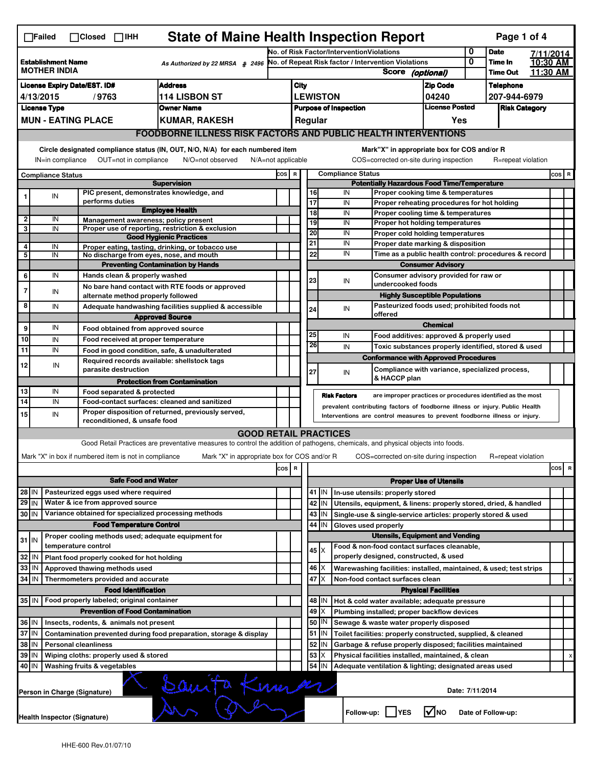| <b>State of Maine Health Inspection Report</b><br>Page 1 of 4<br>$\Box$ Failed<br>$\Box$ Closed $\Box$ IHH |                                                                                               |                                                                                                                                                                        |                                                       |                                                                                                                                   |       |                                                                              |                                           |             |                                                                                   |                                                                                        |                                |             |                                      |                        |         |                         |
|------------------------------------------------------------------------------------------------------------|-----------------------------------------------------------------------------------------------|------------------------------------------------------------------------------------------------------------------------------------------------------------------------|-------------------------------------------------------|-----------------------------------------------------------------------------------------------------------------------------------|-------|------------------------------------------------------------------------------|-------------------------------------------|-------------|-----------------------------------------------------------------------------------|----------------------------------------------------------------------------------------|--------------------------------|-------------|--------------------------------------|------------------------|---------|-------------------------|
| <b>Establishment Name</b><br>As Authorized by 22 MRSA § 2496<br><b>MOTHER INDIA</b>                        |                                                                                               |                                                                                                                                                                        |                                                       |                                                                                                                                   |       | No. of Risk Factor/InterventionViolations                                    |                                           |             |                                                                                   |                                                                                        | 0                              | <b>Date</b> | 7/11/2014                            |                        |         |                         |
|                                                                                                            |                                                                                               |                                                                                                                                                                        |                                                       |                                                                                                                                   |       |                                                                              |                                           |             | No. of Repeat Risk factor / Intervention Violations<br><b>Score</b><br>(optional) |                                                                                        |                                | 0           | Time In<br><b>Time Out</b>           | $10:30$ AM<br>11:30 AM |         |                         |
|                                                                                                            |                                                                                               |                                                                                                                                                                        |                                                       |                                                                                                                                   |       |                                                                              |                                           |             |                                                                                   |                                                                                        |                                |             |                                      |                        |         |                         |
| <b>Address</b><br><b>License Expiry Date/EST. ID#</b><br><b>114 LISBON ST</b><br>4/13/2015<br>/9763        |                                                                                               |                                                                                                                                                                        |                                                       |                                                                                                                                   |       | <b>City</b><br><b>LEWISTON</b>                                               |                                           |             |                                                                                   |                                                                                        | <b>Zip Code</b>                |             | <b>Telephone</b>                     |                        |         |                         |
| <b>License Type</b><br><b>Owner Name</b>                                                                   |                                                                                               |                                                                                                                                                                        |                                                       |                                                                                                                                   |       |                                                                              |                                           |             | <b>Purpose of Inspection</b>                                                      |                                                                                        | 04240<br><b>License Posted</b> |             | 207-944-6979<br><b>Risk Category</b> |                        |         |                         |
| <b>MUN - EATING PLACE</b>                                                                                  |                                                                                               |                                                                                                                                                                        |                                                       |                                                                                                                                   |       |                                                                              | Regular                                   |             |                                                                                   |                                                                                        | Yes                            |             |                                      |                        |         |                         |
|                                                                                                            | <b>KUMAR, RAKESH</b><br><b>FOODBORNE ILLNESS RISK FACTORS AND PUBLIC HEALTH INTERVENTIONS</b> |                                                                                                                                                                        |                                                       |                                                                                                                                   |       |                                                                              |                                           |             |                                                                                   |                                                                                        |                                |             |                                      |                        |         |                         |
|                                                                                                            |                                                                                               |                                                                                                                                                                        |                                                       |                                                                                                                                   |       |                                                                              |                                           |             |                                                                                   |                                                                                        |                                |             |                                      |                        |         |                         |
|                                                                                                            | IN=in compliance                                                                              |                                                                                                                                                                        | OUT=not in compliance                                 | Circle designated compliance status (IN, OUT, N/O, N/A) for each numbered item<br>N/O=not observed<br>$N/A = not$ applicable      |       |                                                                              |                                           |             |                                                                                   | Mark"X" in appropriate box for COS and/or R<br>COS=corrected on-site during inspection |                                |             | R=repeat violation                   |                        |         |                         |
|                                                                                                            |                                                                                               |                                                                                                                                                                        |                                                       |                                                                                                                                   | COS R |                                                                              |                                           |             | <b>Compliance Status</b>                                                          |                                                                                        |                                |             |                                      |                        | $cos$ R |                         |
|                                                                                                            | <b>Compliance Status</b>                                                                      |                                                                                                                                                                        |                                                       | <b>Supervision</b>                                                                                                                |       |                                                                              |                                           |             |                                                                                   | <b>Potentially Hazardous Food Time/Temperature</b>                                     |                                |             |                                      |                        |         |                         |
|                                                                                                            | IN                                                                                            |                                                                                                                                                                        |                                                       | PIC present, demonstrates knowledge, and                                                                                          |       |                                                                              | 16                                        |             | IN                                                                                | Proper cooking time & temperatures                                                     |                                |             |                                      |                        |         |                         |
|                                                                                                            |                                                                                               |                                                                                                                                                                        | performs duties                                       |                                                                                                                                   |       |                                                                              | 17                                        |             | IN                                                                                | Proper reheating procedures for hot holding                                            |                                |             |                                      |                        |         |                         |
| 2                                                                                                          | IN                                                                                            |                                                                                                                                                                        |                                                       | <b>Employee Health</b><br>Management awareness; policy present                                                                    |       |                                                                              | 18                                        |             | IN                                                                                | Proper cooling time & temperatures                                                     |                                |             |                                      |                        |         |                         |
| 3                                                                                                          | IN                                                                                            |                                                                                                                                                                        |                                                       | Proper use of reporting, restriction & exclusion                                                                                  |       |                                                                              | 19<br>20                                  |             | IN<br>IN                                                                          | Proper hot holding temperatures                                                        |                                |             |                                      |                        |         |                         |
|                                                                                                            |                                                                                               |                                                                                                                                                                        |                                                       | <b>Good Hygienic Practices</b>                                                                                                    |       |                                                                              | 21                                        |             | IN                                                                                | Proper cold holding temperatures<br>Proper date marking & disposition                  |                                |             |                                      |                        |         |                         |
| 4<br>5                                                                                                     | IN<br>IN                                                                                      |                                                                                                                                                                        |                                                       | Proper eating, tasting, drinking, or tobacco use                                                                                  |       |                                                                              | 22                                        |             | IN                                                                                |                                                                                        |                                |             |                                      |                        |         |                         |
|                                                                                                            |                                                                                               |                                                                                                                                                                        |                                                       | No discharge from eyes, nose, and mouth<br><b>Preventing Contamination by Hands</b>                                               |       |                                                                              |                                           |             | Time as a public health control: procedures & record<br><b>Consumer Advisory</b>  |                                                                                        |                                |             |                                      |                        |         |                         |
| 6                                                                                                          | IN                                                                                            |                                                                                                                                                                        | Hands clean & properly washed                         |                                                                                                                                   |       |                                                                              |                                           |             |                                                                                   | Consumer advisory provided for raw or                                                  |                                |             |                                      |                        |         |                         |
|                                                                                                            |                                                                                               |                                                                                                                                                                        |                                                       | No bare hand contact with RTE foods or approved                                                                                   |       |                                                                              | 23                                        |             | IN                                                                                | undercooked foods                                                                      |                                |             |                                      |                        |         |                         |
| 7                                                                                                          | IN                                                                                            |                                                                                                                                                                        | alternate method properly followed                    |                                                                                                                                   |       |                                                                              |                                           |             |                                                                                   | <b>Highly Susceptible Populations</b>                                                  |                                |             |                                      |                        |         |                         |
| 8                                                                                                          | IN                                                                                            |                                                                                                                                                                        |                                                       | Adequate handwashing facilities supplied & accessible                                                                             |       |                                                                              | 24                                        |             | IN                                                                                | Pasteurized foods used; prohibited foods not                                           |                                |             |                                      |                        |         |                         |
|                                                                                                            |                                                                                               |                                                                                                                                                                        |                                                       | <b>Approved Source</b>                                                                                                            |       |                                                                              |                                           |             |                                                                                   | offered                                                                                |                                |             |                                      |                        |         |                         |
| 9                                                                                                          | IN                                                                                            |                                                                                                                                                                        | Food obtained from approved source                    |                                                                                                                                   |       |                                                                              |                                           |             |                                                                                   |                                                                                        | <b>Chemical</b>                |             |                                      |                        |         |                         |
| 10                                                                                                         | IN                                                                                            |                                                                                                                                                                        | Food received at proper temperature                   |                                                                                                                                   |       |                                                                              | 25<br>26                                  |             | IN                                                                                | Food additives: approved & properly used                                               |                                |             |                                      |                        |         |                         |
| 11                                                                                                         | IN                                                                                            |                                                                                                                                                                        |                                                       | Food in good condition, safe, & unadulterated                                                                                     |       |                                                                              |                                           |             | IN                                                                                | Toxic substances properly identified, stored & used                                    |                                |             |                                      |                        |         |                         |
| 12                                                                                                         | IN                                                                                            |                                                                                                                                                                        |                                                       | Required records available: shellstock tags                                                                                       |       |                                                                              |                                           |             |                                                                                   | <b>Conformance with Approved Procedures</b>                                            |                                |             |                                      |                        |         |                         |
|                                                                                                            |                                                                                               |                                                                                                                                                                        | parasite destruction                                  |                                                                                                                                   |       |                                                                              | 27                                        |             | IN                                                                                | Compliance with variance, specialized process,<br>& HACCP plan                         |                                |             |                                      |                        |         |                         |
|                                                                                                            |                                                                                               |                                                                                                                                                                        |                                                       | <b>Protection from Contamination</b>                                                                                              |       |                                                                              |                                           |             |                                                                                   |                                                                                        |                                |             |                                      |                        |         |                         |
| 13<br>$\overline{14}$                                                                                      | IN<br>IN                                                                                      |                                                                                                                                                                        | Food separated & protected                            | Food-contact surfaces: cleaned and sanitized                                                                                      |       |                                                                              |                                           |             | <b>Risk Factors</b>                                                               | are improper practices or procedures identified as the most                            |                                |             |                                      |                        |         |                         |
|                                                                                                            |                                                                                               |                                                                                                                                                                        |                                                       |                                                                                                                                   |       | prevalent contributing factors of foodborne illness or injury. Public Health |                                           |             |                                                                                   |                                                                                        |                                |             |                                      |                        |         |                         |
| 15                                                                                                         |                                                                                               | Proper disposition of returned, previously served,<br>IN<br>Interventions are control measures to prevent foodborne illness or injury.<br>reconditioned, & unsafe food |                                                       |                                                                                                                                   |       |                                                                              |                                           |             |                                                                                   |                                                                                        |                                |             |                                      |                        |         |                         |
|                                                                                                            |                                                                                               |                                                                                                                                                                        |                                                       | <b>GOOD RETAIL PRACTICES</b>                                                                                                      |       |                                                                              |                                           |             |                                                                                   |                                                                                        |                                |             |                                      |                        |         |                         |
|                                                                                                            |                                                                                               |                                                                                                                                                                        |                                                       | Good Retail Practices are preventative measures to control the addition of pathogens, chemicals, and physical objects into foods. |       |                                                                              |                                           |             |                                                                                   |                                                                                        |                                |             |                                      |                        |         |                         |
|                                                                                                            |                                                                                               |                                                                                                                                                                        | Mark "X" in box if numbered item is not in compliance | Mark "X" in appropriate box for COS and/or R                                                                                      |       |                                                                              |                                           |             |                                                                                   | COS=corrected on-site during inspection                                                |                                |             | R=repeat violation                   |                        |         |                         |
|                                                                                                            |                                                                                               |                                                                                                                                                                        |                                                       |                                                                                                                                   | cos   | R                                                                            |                                           |             |                                                                                   |                                                                                        |                                |             |                                      |                        | cosl    | $\overline{\mathbf{R}}$ |
|                                                                                                            |                                                                                               |                                                                                                                                                                        | <b>Safe Food and Water</b>                            |                                                                                                                                   |       |                                                                              |                                           |             |                                                                                   |                                                                                        | <b>Proper Use of Utensils</b>  |             |                                      |                        |         |                         |
| 28 IN                                                                                                      |                                                                                               |                                                                                                                                                                        | Pasteurized eggs used where required                  |                                                                                                                                   |       |                                                                              |                                           | $41$ IN     |                                                                                   | In-use utensils: properly stored                                                       |                                |             |                                      |                        |         |                         |
| 29 IN                                                                                                      |                                                                                               |                                                                                                                                                                        | Water & ice from approved source                      |                                                                                                                                   |       |                                                                              | 42                                        | IN          |                                                                                   | Utensils, equipment, & linens: properly stored, dried, & handled                       |                                |             |                                      |                        |         |                         |
| 30 IN                                                                                                      |                                                                                               |                                                                                                                                                                        |                                                       | Variance obtained for specialized processing methods                                                                              |       |                                                                              | 43                                        | IN          |                                                                                   | Single-use & single-service articles: properly stored & used                           |                                |             |                                      |                        |         |                         |
|                                                                                                            |                                                                                               |                                                                                                                                                                        | <b>Food Temperature Control</b>                       |                                                                                                                                   |       |                                                                              | 44<br>IN<br>Gloves used properly          |             |                                                                                   |                                                                                        |                                |             |                                      |                        |         |                         |
| $31$ IN                                                                                                    |                                                                                               |                                                                                                                                                                        |                                                       | Proper cooling methods used; adequate equipment for                                                                               |       |                                                                              | <b>Utensils, Equipment and Vending</b>    |             |                                                                                   |                                                                                        |                                |             |                                      |                        |         |                         |
|                                                                                                            |                                                                                               | temperature control                                                                                                                                                    |                                                       |                                                                                                                                   |       |                                                                              |                                           | $45 \times$ |                                                                                   | Food & non-food contact surfaces cleanable,                                            |                                |             |                                      |                        |         |                         |
| 32                                                                                                         | IN                                                                                            |                                                                                                                                                                        | Plant food properly cooked for hot holding            |                                                                                                                                   |       |                                                                              |                                           |             |                                                                                   | properly designed, constructed, & used                                                 |                                |             |                                      |                        |         |                         |
| 33                                                                                                         | IN                                                                                            |                                                                                                                                                                        | Approved thawing methods used                         |                                                                                                                                   |       |                                                                              | 46                                        | ΙX          |                                                                                   | Warewashing facilities: installed, maintained, & used; test strips                     |                                |             |                                      |                        |         |                         |
| 34                                                                                                         | l IN                                                                                          |                                                                                                                                                                        | Thermometers provided and accurate                    |                                                                                                                                   |       |                                                                              | 47   X<br>Non-food contact surfaces clean |             |                                                                                   |                                                                                        |                                |             |                                      |                        |         | х                       |
|                                                                                                            |                                                                                               |                                                                                                                                                                        | <b>Food Identification</b>                            |                                                                                                                                   |       |                                                                              | <b>Physical Facilities</b>                |             |                                                                                   |                                                                                        |                                |             |                                      |                        |         |                         |
| 35 IN                                                                                                      |                                                                                               |                                                                                                                                                                        | Food properly labeled; original container             |                                                                                                                                   |       |                                                                              |                                           | 48   IN     |                                                                                   | Hot & cold water available; adequate pressure                                          |                                |             |                                      |                        |         |                         |
|                                                                                                            |                                                                                               |                                                                                                                                                                        | <b>Prevention of Food Contamination</b>               |                                                                                                                                   |       |                                                                              | 49                                        |             |                                                                                   | Plumbing installed; proper backflow devices                                            |                                |             |                                      |                        |         |                         |
| 36 IN                                                                                                      |                                                                                               |                                                                                                                                                                        | Insects, rodents, & animals not present               |                                                                                                                                   |       |                                                                              |                                           | 50   IN     |                                                                                   | Sewage & waste water properly disposed                                                 |                                |             |                                      |                        |         |                         |
| 37 IN                                                                                                      |                                                                                               |                                                                                                                                                                        |                                                       | Contamination prevented during food preparation, storage & display                                                                |       |                                                                              |                                           | $51$ M      |                                                                                   | Toilet facilities: properly constructed, supplied, & cleaned                           |                                |             |                                      |                        |         |                         |
| 38 IN<br><b>Personal cleanliness</b>                                                                       |                                                                                               |                                                                                                                                                                        |                                                       |                                                                                                                                   |       |                                                                              | 52                                        | IN          |                                                                                   | Garbage & refuse properly disposed; facilities maintained                              |                                |             |                                      |                        |         |                         |
| 39 IN<br>Wiping cloths: properly used & stored<br>40 IN<br>Washing fruits & vegetables                     |                                                                                               |                                                                                                                                                                        |                                                       |                                                                                                                                   |       |                                                                              | 53                                        | Χ           |                                                                                   | Physical facilities installed, maintained, & clean                                     |                                |             |                                      |                        |         | X                       |
|                                                                                                            |                                                                                               |                                                                                                                                                                        |                                                       |                                                                                                                                   |       |                                                                              | 54                                        | IN          |                                                                                   | Adequate ventilation & lighting; designated areas used                                 |                                |             |                                      |                        |         |                         |
|                                                                                                            | Ta Kinner<br>Date: 7/11/2014<br>Person in Charge (Signature)                                  |                                                                                                                                                                        |                                                       |                                                                                                                                   |       |                                                                              |                                           |             |                                                                                   |                                                                                        |                                |             |                                      |                        |         |                         |
|                                                                                                            | l√Ino<br>Follow-up:  <br><b>IYES</b><br>Date of Follow-up:<br>Health Inspector (Signature)    |                                                                                                                                                                        |                                                       |                                                                                                                                   |       |                                                                              |                                           |             |                                                                                   |                                                                                        |                                |             |                                      |                        |         |                         |
|                                                                                                            |                                                                                               |                                                                                                                                                                        |                                                       |                                                                                                                                   |       |                                                                              |                                           |             |                                                                                   |                                                                                        |                                |             |                                      |                        |         |                         |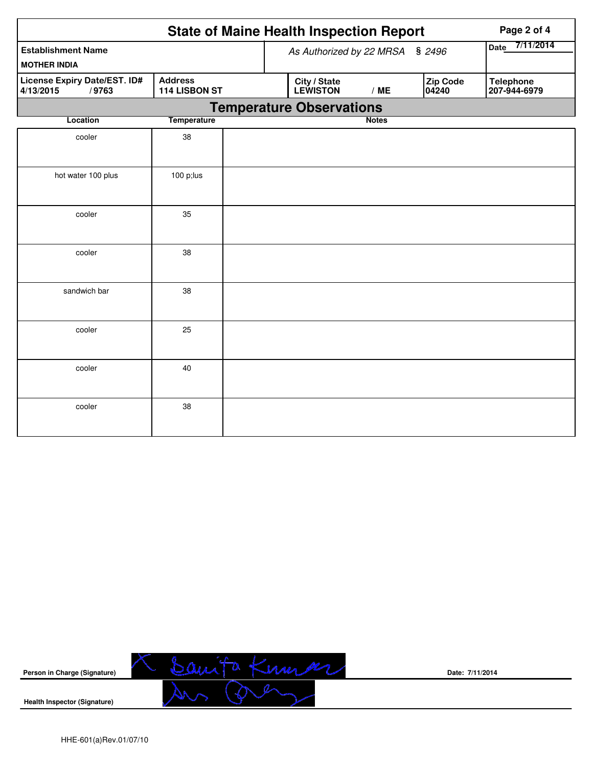| <b>State of Maine Health Inspection Report</b><br>Page 2 of 4 |                                 |  |                                 |                   |                          |                                  |  |  |  |
|---------------------------------------------------------------|---------------------------------|--|---------------------------------|-------------------|--------------------------|----------------------------------|--|--|--|
| <b>Establishment Name</b><br><b>MOTHER INDIA</b>              |                                 |  | As Authorized by 22 MRSA § 2496 | 7/11/2014<br>Date |                          |                                  |  |  |  |
| <b>License Expiry Date/EST. ID#</b><br>4/13/2015<br>/9763     | <b>Address</b><br>114 LISBON ST |  | City / State<br><b>LEWISTON</b> | /ME               | <b>Zip Code</b><br>04240 | <b>Telephone</b><br>207-944-6979 |  |  |  |
|                                                               |                                 |  | <b>Temperature Observations</b> |                   |                          |                                  |  |  |  |
| Location                                                      | <b>Temperature</b>              |  |                                 | <b>Notes</b>      |                          |                                  |  |  |  |
| cooler                                                        | 38                              |  |                                 |                   |                          |                                  |  |  |  |
| hot water 100 plus                                            | $100$ p;lus                     |  |                                 |                   |                          |                                  |  |  |  |
| cooler                                                        | 35                              |  |                                 |                   |                          |                                  |  |  |  |
| cooler                                                        | 38                              |  |                                 |                   |                          |                                  |  |  |  |
| sandwich bar                                                  | 38                              |  |                                 |                   |                          |                                  |  |  |  |
| cooler                                                        | 25                              |  |                                 |                   |                          |                                  |  |  |  |
| cooler                                                        | 40                              |  |                                 |                   |                          |                                  |  |  |  |
| cooler                                                        | 38                              |  |                                 |                   |                          |                                  |  |  |  |

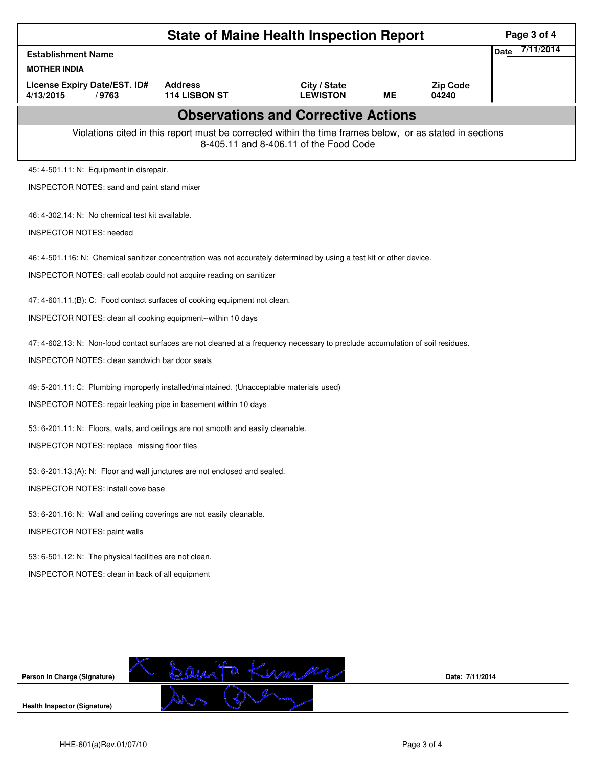| <b>State of Maine Health Inspection Report</b>                                                                                                                                               |                                 |                                                                                                                                                    |           |                          |             |           |  |
|----------------------------------------------------------------------------------------------------------------------------------------------------------------------------------------------|---------------------------------|----------------------------------------------------------------------------------------------------------------------------------------------------|-----------|--------------------------|-------------|-----------|--|
| <b>Establishment Name</b><br><b>MOTHER INDIA</b>                                                                                                                                             |                                 |                                                                                                                                                    |           |                          | <b>Date</b> | 7/11/2014 |  |
| License Expiry Date/EST. ID#<br>4/13/2015<br>/9763                                                                                                                                           | <b>Address</b><br>114 LISBON ST | City / State<br><b>LEWISTON</b>                                                                                                                    | <b>ME</b> | <b>Zip Code</b><br>04240 |             |           |  |
|                                                                                                                                                                                              |                                 | <b>Observations and Corrective Actions</b>                                                                                                         |           |                          |             |           |  |
|                                                                                                                                                                                              |                                 | Violations cited in this report must be corrected within the time frames below, or as stated in sections<br>8-405.11 and 8-406.11 of the Food Code |           |                          |             |           |  |
| 45: 4-501.11: N: Equipment in disrepair.                                                                                                                                                     |                                 |                                                                                                                                                    |           |                          |             |           |  |
| INSPECTOR NOTES: sand and paint stand mixer                                                                                                                                                  |                                 |                                                                                                                                                    |           |                          |             |           |  |
| 46: 4-302.14: N: No chemical test kit available.                                                                                                                                             |                                 |                                                                                                                                                    |           |                          |             |           |  |
| <b>INSPECTOR NOTES: needed</b>                                                                                                                                                               |                                 |                                                                                                                                                    |           |                          |             |           |  |
|                                                                                                                                                                                              |                                 |                                                                                                                                                    |           |                          |             |           |  |
| 46: 4-501.116: N: Chemical sanitizer concentration was not accurately determined by using a test kit or other device.<br>INSPECTOR NOTES: call ecolab could not acquire reading on sanitizer |                                 |                                                                                                                                                    |           |                          |             |           |  |
|                                                                                                                                                                                              |                                 |                                                                                                                                                    |           |                          |             |           |  |
| 47: 4-601.11.(B): C: Food contact surfaces of cooking equipment not clean.                                                                                                                   |                                 |                                                                                                                                                    |           |                          |             |           |  |
| INSPECTOR NOTES: clean all cooking equipment--within 10 days                                                                                                                                 |                                 |                                                                                                                                                    |           |                          |             |           |  |
| 47: 4-602.13: N: Non-food contact surfaces are not cleaned at a frequency necessary to preclude accumulation of soil residues.                                                               |                                 |                                                                                                                                                    |           |                          |             |           |  |
| <b>INSPECTOR NOTES: clean sandwich bar door seals</b>                                                                                                                                        |                                 |                                                                                                                                                    |           |                          |             |           |  |
| 49: 5-201.11: C: Plumbing improperly installed/maintained. (Unacceptable materials used)                                                                                                     |                                 |                                                                                                                                                    |           |                          |             |           |  |
| INSPECTOR NOTES: repair leaking pipe in basement within 10 days                                                                                                                              |                                 |                                                                                                                                                    |           |                          |             |           |  |
|                                                                                                                                                                                              |                                 |                                                                                                                                                    |           |                          |             |           |  |
| 53: 6-201.11: N: Floors, walls, and ceilings are not smooth and easily cleanable.<br>INSPECTOR NOTES: replace missing floor tiles                                                            |                                 |                                                                                                                                                    |           |                          |             |           |  |
|                                                                                                                                                                                              |                                 |                                                                                                                                                    |           |                          |             |           |  |
| 53: 6-201.13.(A): N: Floor and wall junctures are not enclosed and sealed.<br><b>INSPECTOR NOTES: install cove base</b>                                                                      |                                 |                                                                                                                                                    |           |                          |             |           |  |
|                                                                                                                                                                                              |                                 |                                                                                                                                                    |           |                          |             |           |  |
| 53: 6-201.16: N: Wall and ceiling coverings are not easily cleanable.                                                                                                                        |                                 |                                                                                                                                                    |           |                          |             |           |  |
| <b>INSPECTOR NOTES: paint walls</b>                                                                                                                                                          |                                 |                                                                                                                                                    |           |                          |             |           |  |
| 53: 6-501.12: N: The physical facilities are not clean.                                                                                                                                      |                                 |                                                                                                                                                    |           |                          |             |           |  |
| INSPECTOR NOTES: clean in back of all equipment                                                                                                                                              |                                 |                                                                                                                                                    |           |                          |             |           |  |
|                                                                                                                                                                                              |                                 |                                                                                                                                                    |           |                          |             |           |  |
|                                                                                                                                                                                              |                                 |                                                                                                                                                    |           |                          |             |           |  |
|                                                                                                                                                                                              |                                 |                                                                                                                                                    |           |                          |             |           |  |
|                                                                                                                                                                                              |                                 |                                                                                                                                                    |           |                          |             |           |  |
| Person in Charge (Signature)                                                                                                                                                                 | X Sanita Knumar                 |                                                                                                                                                    |           | Date: 7/11/2014          |             |           |  |

 $\sqrt{2}$ 

**Person in Charge (Signature)**

**Health Inspector (Signature)** 

Ars

 $\bigotimes$ 

**Date: 7/11/2014**